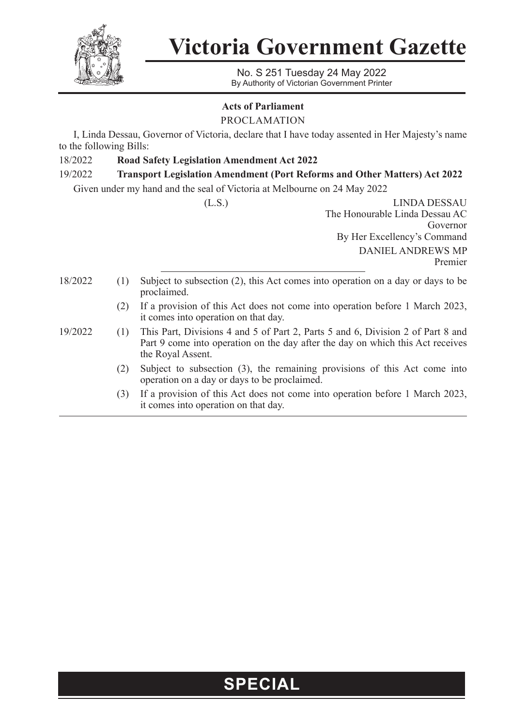

**Victoria Government Gazette**

No. S 251 Tuesday 24 May 2022 By Authority of Victorian Government Printer

## **Acts of Parliament**

PROCLAMATION

I, Linda Dessau, Governor of Victoria, declare that I have today assented in Her Majesty's name to the following Bills:

18/2022 **Road Safety Legislation Amendment Act 2022**

## 19/2022 **Transport Legislation Amendment (Port Reforms and Other Matters) Act 2022**

Given under my hand and the seal of Victoria at Melbourne on 24 May 2022

(L.S.) LINDA DESSAU The Honourable Linda Dessau AC Governor By Her Excellency's Command DANIEL ANDREWS MP Premier 18/2022 (1) Subject to subsection (2), this Act comes into operation on a day or days to be proclaimed. (2) If a provision of this Act does not come into operation before 1 March 2023, it comes into operation on that day. 19/2022 (1) This Part, Divisions 4 and 5 of Part 2, Parts 5 and 6, Division 2 of Part 8 and Part 9 come into operation on the day after the day on which this Act receives the Royal Assent. (2) Subject to subsection (3), the remaining provisions of this Act come into operation on a day or days to be proclaimed.

> (3) If a provision of this Act does not come into operation before 1 March 2023, it comes into operation on that day.

## **SPECIAL**